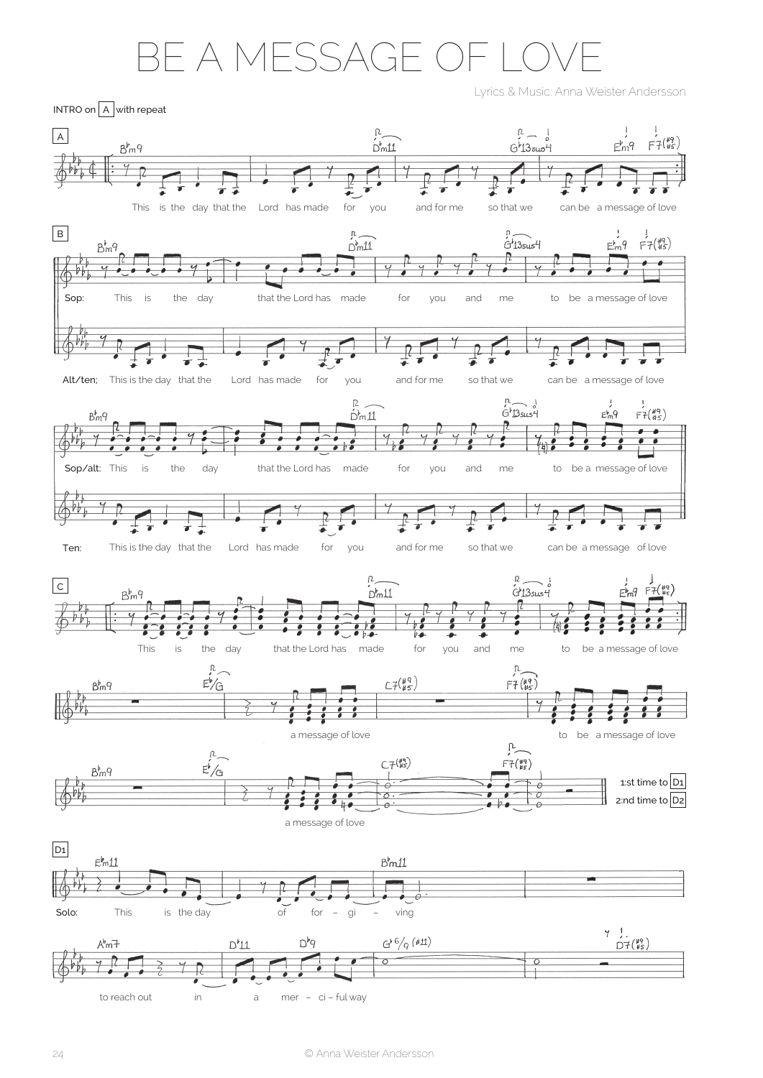## BE A MESSAGE OF

Lyrics & Music: Anna Weister Andersson